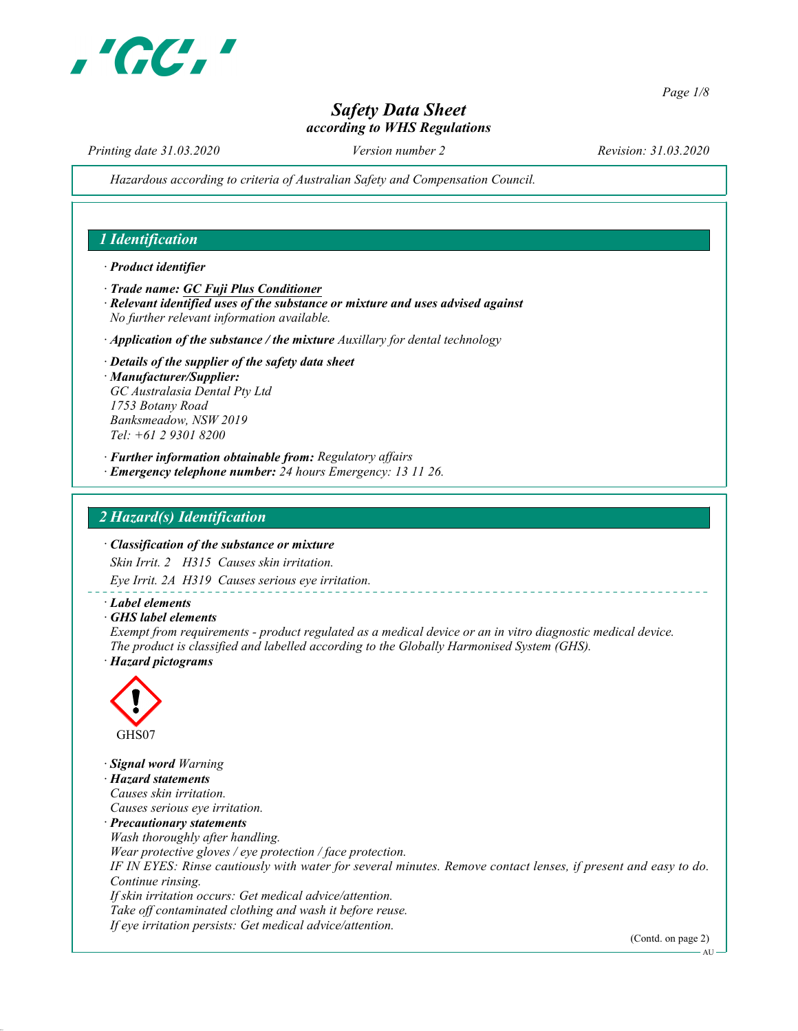

Page 1/8

# Safety Data Sheet according to WHS Regulations

Printing date 31.03.2020 Version number 2 Revision: 31.03.2020

Hazardous according to criteria of Australian Safety and Compensation Council.

## 1 Identification

· Product identifier

· Trade name: GC Fuji Plus Conditioner

- · Relevant identified uses of the substance or mixture and uses advised against No further relevant information available.
- $\cdot$  Application of the substance / the mixture Auxillary for dental technology
- · Details of the supplier of the safety data sheet · Manufacturer/Supplier: GC Australasia Dental Pty Ltd 1753 Botany Road Banksmeadow, NSW 2019 Tel: +61 2 9301 8200
- · Further information obtainable from: Regulatory affairs
- · Emergency telephone number: 24 hours Emergency: 13 11 26.

### 2 Hazard(s) Identification

#### · Classification of the substance or mixture

Skin Irrit. 2 H315 Causes skin irritation.

Eye Irrit. 2A H319 Causes serious eye irritation.

- · Label elements
- · GHS label elements

Exempt from requirements - product regulated as a medical device or an in vitro diagnostic medical device. The product is classified and labelled according to the Globally Harmonised System (GHS).

· Hazard pictograms



· Signal word Warning · Hazard statements Causes skin irritation. Causes serious eye irritation. · Precautionary statements Wash thoroughly after handling. Wear protective gloves / eye protection / face protection. IF IN EYES: Rinse cautiously with water for several minutes. Remove contact lenses, if present and easy to do. Continue rinsing. If skin irritation occurs: Get medical advice/attention. Take off contaminated clothing and wash it before reuse. If eye irritation persists: Get medical advice/attention.

(Contd. on page 2)

AU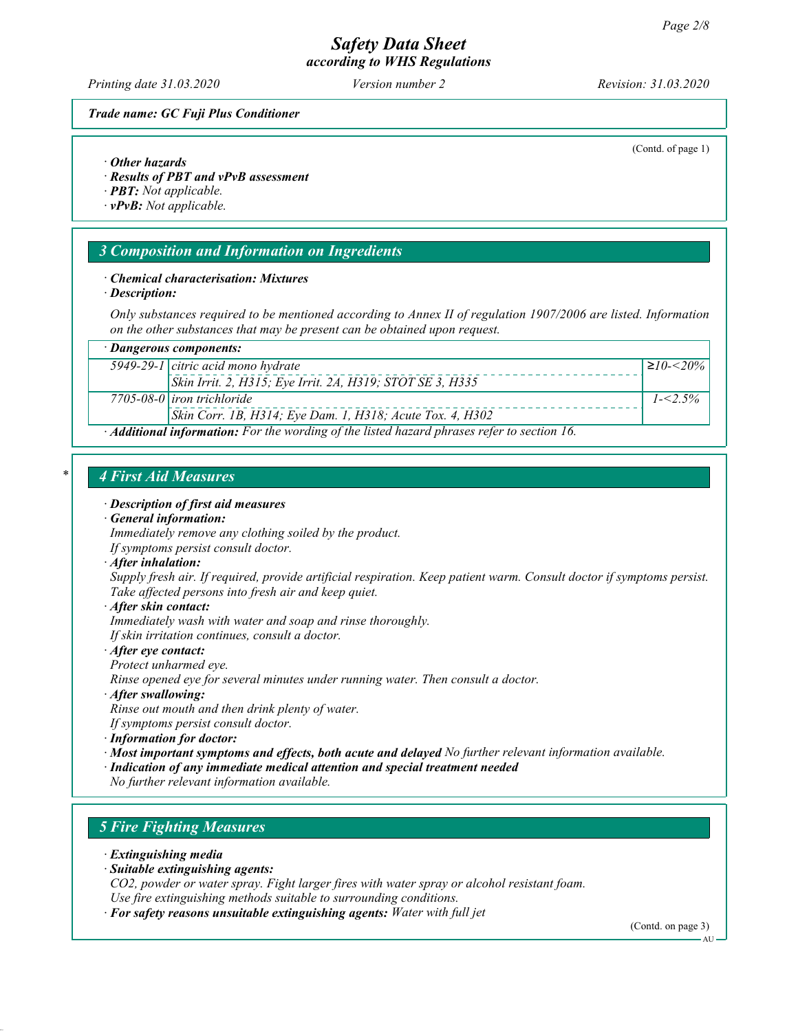Printing date 31.03.2020 Version number 2 Revision: 31.03.2020

(Contd. of page 1)

#### Trade name: GC Fuji Plus Conditioner

#### · Other hazards

- · Results of PBT and vPvB assessment
- · PBT: Not applicable.
- · vPvB: Not applicable.

### 3 Composition and Information on Ingredients

#### · Chemical characterisation: Mixtures

· Description:

Only substances required to be mentioned according to Annex II of regulation 1907/2006 are listed. Information on the other substances that may be present can be obtained upon request.

| $\cdot$ Dangerous components:                                                                     |                                                           |                       |  |
|---------------------------------------------------------------------------------------------------|-----------------------------------------------------------|-----------------------|--|
|                                                                                                   | 5949-29-1 citric acid mono hydrate                        | $\geq 10 - \leq 20\%$ |  |
|                                                                                                   | Skin Irrit. 2, H315; Eye Irrit. 2A, H319; STOT SE 3, H335 |                       |  |
|                                                                                                   | $7705 - 08 - 0$ iron trichloride                          | $1 - 5\%$             |  |
|                                                                                                   | Skin Corr. 1B, H314; Eye Dam. 1, H318; Acute Tox. 4, H302 |                       |  |
| $\cdot$ Additional information: For the wording of the listed hazard phrases refer to section 16. |                                                           |                       |  |

#### 4 First Aid Measures

· Description of first aid measures

#### · General information:

Immediately remove any clothing soiled by the product. If symptoms persist consult doctor.

· After inhalation:

Supply fresh air. If required, provide artificial respiration. Keep patient warm. Consult doctor if symptoms persist. Take affected persons into fresh air and keep quiet.

· After skin contact:

Immediately wash with water and soap and rinse thoroughly. If skin irritation continues, consult a doctor.

#### · After eye contact:

Protect unharmed eye.

Rinse opened eye for several minutes under running water. Then consult a doctor.

· After swallowing:

Rinse out mouth and then drink plenty of water.

- If symptoms persist consult doctor.
- · Information for doctor:

· Most important symptoms and effects, both acute and delayed No further relevant information available.

· Indication of any immediate medical attention and special treatment needed

No further relevant information available.

# 5 Fire Fighting Measures

- · Extinguishing media
- · Suitable extinguishing agents:

CO2, powder or water spray. Fight larger fires with water spray or alcohol resistant foam. Use fire extinguishing methods suitable to surrounding conditions.

· For safety reasons unsuitable extinguishing agents: Water with full jet

(Contd. on page 3)

AU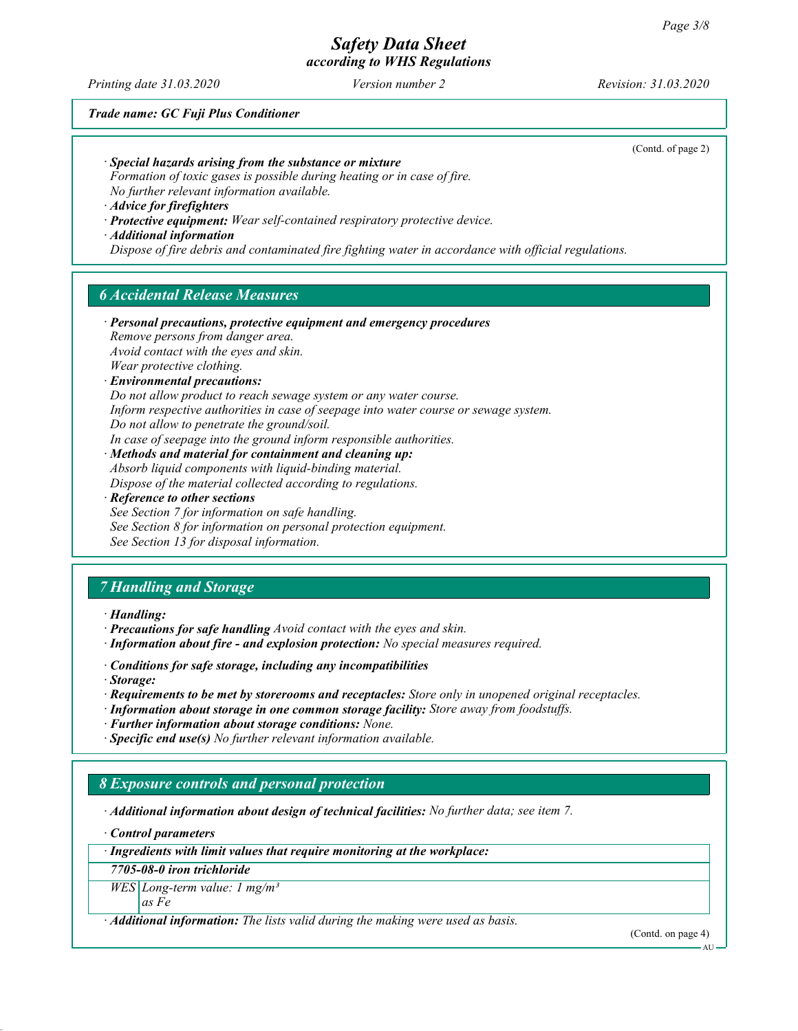Printing date 31.03.2020 Version number 2 Revision: 31.03.2020

Trade name: GC Fuji Plus Conditioner

(Contd. of page 2)

· Special hazards arising from the substance or mixture

Formation of toxic gases is possible during heating or in case of fire. No further relevant information available.

· Advice for firefighters

· Protective equipment: Wear self-contained respiratory protective device.

· Additional information

Dispose of fire debris and contaminated fire fighting water in accordance with official regulations.

# 6 Accidental Release Measures

· Personal precautions, protective equipment and emergency procedures Remove persons from danger area. Avoid contact with the eyes and skin. Wear protective clothing.

· Environmental precautions:

Do not allow product to reach sewage system or any water course.

Inform respective authorities in case of seepage into water course or sewage system.

Do not allow to penetrate the ground/soil.

In case of seepage into the ground inform responsible authorities.

· Methods and material for containment and cleaning up:

Absorb liquid components with liquid-binding material. Dispose of the material collected according to regulations.

· Reference to other sections

See Section 7 for information on safe handling. See Section 8 for information on personal protection equipment. See Section 13 for disposal information.

# 7 Handling and Storage

· Handling:

- · Precautions for safe handling Avoid contact with the eyes and skin.
- · Information about fire and explosion protection: No special measures required.
- · Conditions for safe storage, including any incompatibilities
- · Storage:
- · Requirements to be met by storerooms and receptacles: Store only in unopened original receptacles.
- · Information about storage in one common storage facility: Store away from foodstuffs.
- · Further information about storage conditions: None.
- · Specific end use(s) No further relevant information available.

### 8 Exposure controls and personal protection

· Additional information about design of technical facilities: No further data; see item 7.

· Control parameters

· Ingredients with limit values that require monitoring at the workplace:

7705-08-0 iron trichloride

 $WES$  Long-term value: 1 mg/m<sup>3</sup> as Fe

 $\cdot$  **Additional information:** The lists valid during the making were used as basis.

(Contd. on page 4)

AU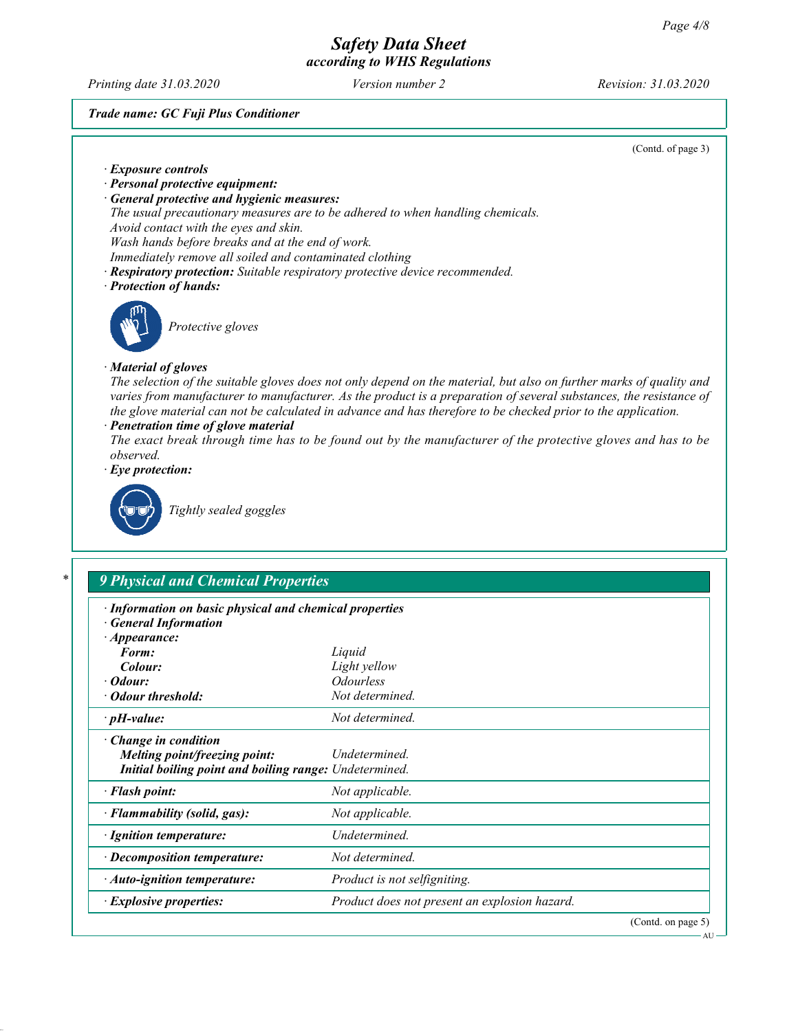Printing date 31.03.2020 Version number 2 Revision: 31.03.2020

#### Trade name: GC Fuji Plus Conditioner

Initial boiling point and boiling range: Undetermined. · Flash point: Not applicable. · Flammability (solid, gas): Not applicable. · Ignition temperature: Undetermined. · Decomposition temperature: Not determined.

· Auto-ignition temperature: Product is not selfigniting.

· Explosive properties: Product does not present an explosion hazard.

(Contd. of page 3)

| · Exposure controls                                                          |                                                                                                                                                                                                                                                                                                                                                                                                                                                                           |  |  |  |
|------------------------------------------------------------------------------|---------------------------------------------------------------------------------------------------------------------------------------------------------------------------------------------------------------------------------------------------------------------------------------------------------------------------------------------------------------------------------------------------------------------------------------------------------------------------|--|--|--|
| · Personal protective equipment:                                             |                                                                                                                                                                                                                                                                                                                                                                                                                                                                           |  |  |  |
| · General protective and hygienic measures:                                  |                                                                                                                                                                                                                                                                                                                                                                                                                                                                           |  |  |  |
|                                                                              | The usual precautionary measures are to be adhered to when handling chemicals.                                                                                                                                                                                                                                                                                                                                                                                            |  |  |  |
| Avoid contact with the eyes and skin.                                        |                                                                                                                                                                                                                                                                                                                                                                                                                                                                           |  |  |  |
| Wash hands before breaks and at the end of work.                             |                                                                                                                                                                                                                                                                                                                                                                                                                                                                           |  |  |  |
|                                                                              | Immediately remove all soiled and contaminated clothing                                                                                                                                                                                                                                                                                                                                                                                                                   |  |  |  |
|                                                                              | · Respiratory protection: Suitable respiratory protective device recommended.                                                                                                                                                                                                                                                                                                                                                                                             |  |  |  |
| · Protection of hands:                                                       |                                                                                                                                                                                                                                                                                                                                                                                                                                                                           |  |  |  |
|                                                                              |                                                                                                                                                                                                                                                                                                                                                                                                                                                                           |  |  |  |
| Protective gloves                                                            |                                                                                                                                                                                                                                                                                                                                                                                                                                                                           |  |  |  |
| · Material of gloves                                                         |                                                                                                                                                                                                                                                                                                                                                                                                                                                                           |  |  |  |
| · Penetration time of glove material<br>observed.<br>$\cdot$ Eye protection: | The selection of the suitable gloves does not only depend on the material, but also on further marks of quality and<br>varies from manufacturer to manufacturer. As the product is a preparation of several substances, the resistance of<br>the glove material can not be calculated in advance and has therefore to be checked prior to the application.<br>The exact break through time has to be found out by the manufacturer of the protective gloves and has to be |  |  |  |
| Tightly sealed goggles                                                       |                                                                                                                                                                                                                                                                                                                                                                                                                                                                           |  |  |  |
| *<br><b>9 Physical and Chemical Properties</b>                               |                                                                                                                                                                                                                                                                                                                                                                                                                                                                           |  |  |  |
|                                                                              |                                                                                                                                                                                                                                                                                                                                                                                                                                                                           |  |  |  |
| · Information on basic physical and chemical properties                      |                                                                                                                                                                                                                                                                                                                                                                                                                                                                           |  |  |  |
| <b>General Information</b>                                                   |                                                                                                                                                                                                                                                                                                                                                                                                                                                                           |  |  |  |
| $\cdot$ Appearance:                                                          |                                                                                                                                                                                                                                                                                                                                                                                                                                                                           |  |  |  |
| Form:                                                                        | Liquid                                                                                                                                                                                                                                                                                                                                                                                                                                                                    |  |  |  |
| Colour:                                                                      | Light yellow                                                                                                                                                                                                                                                                                                                                                                                                                                                              |  |  |  |
| $\cdot$ Odour:                                                               | <b>Odourless</b>                                                                                                                                                                                                                                                                                                                                                                                                                                                          |  |  |  |
| · Odour threshold:                                                           | Not determined.                                                                                                                                                                                                                                                                                                                                                                                                                                                           |  |  |  |
| $\cdot$ pH-value:                                                            | Not determined.                                                                                                                                                                                                                                                                                                                                                                                                                                                           |  |  |  |
| $\cdot$ Change in condition                                                  |                                                                                                                                                                                                                                                                                                                                                                                                                                                                           |  |  |  |
| Melting point/freezing point:                                                | Undetermined.                                                                                                                                                                                                                                                                                                                                                                                                                                                             |  |  |  |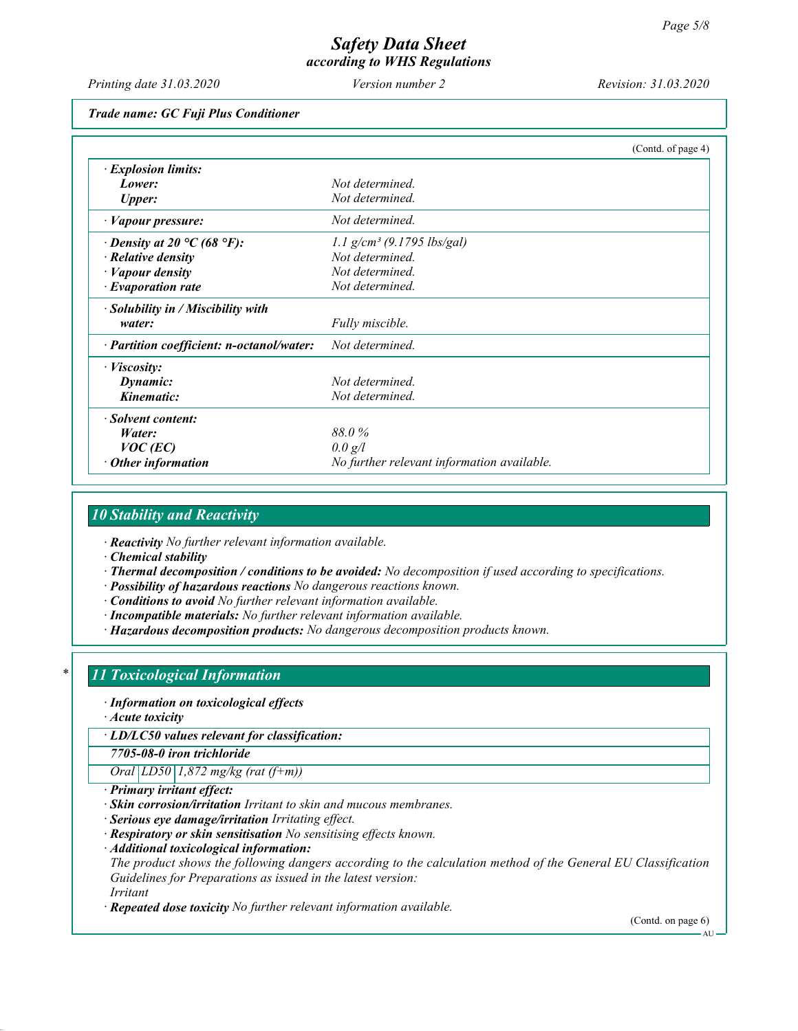Printing date 31.03.2020 Version number 2 Revision: 31.03.2020

Trade name: GC Fuji Plus Conditioner

|                                           | (Contd. of page 4)                         |
|-------------------------------------------|--------------------------------------------|
| · Explosion limits:                       |                                            |
| Lower:                                    | Not determined.                            |
| <b>Upper:</b>                             | Not determined.                            |
| $\cdot$ <i>Vapour pressure:</i>           | Not determined.                            |
| $\cdot$ Density at 20 °C (68 °F):         | $1.1$ g/cm <sup>3</sup> (9.1795 lbs/gal)   |
| $\cdot$ Relative density                  | Not determined.                            |
| · Vapour density                          | Not determined.                            |
| $\cdot$ Evaporation rate                  | Not determined.                            |
| $\cdot$ Solubility in / Miscibility with  |                                            |
| water:                                    | Fully miscible.                            |
| · Partition coefficient: n-octanol/water: | Not determined.                            |
| · Viscosity:                              |                                            |
| Dynamic:                                  | Not determined.                            |
| Kinematic:                                | Not determined.                            |
| · Solvent content:                        |                                            |
| Water:                                    | 88.0%                                      |
| $VOC$ (EC)                                | 0.0 g/l                                    |
| $\cdot$ Other information                 | No further relevant information available. |

# 10 Stability and Reactivity

· Reactivity No further relevant information available.

· Chemical stability

- · Thermal decomposition / conditions to be avoided: No decomposition if used according to specifications.
- · Possibility of hazardous reactions No dangerous reactions known.
- · Conditions to avoid No further relevant information available.
- · Incompatible materials: No further relevant information available.
- · Hazardous decomposition products: No dangerous decomposition products known.

#### 11 Toxicological Information

· Information on toxicological effects

· Acute toxicity

· LD/LC50 values relevant for classification:

7705-08-0 iron trichloride

Oral  $LD50$  1,872 mg/kg (rat (f+m))

- · Primary irritant effect:
- · Skin corrosion/irritation Irritant to skin and mucous membranes.
- · Serious eye damage/irritation Irritating effect.
- · Respiratory or skin sensitisation No sensitising effects known.
- · Additional toxicological information:

The product shows the following dangers according to the calculation method of the General EU Classification Guidelines for Preparations as issued in the latest version:

Irritant

· Repeated dose toxicity No further relevant information available.

(Contd. on page 6)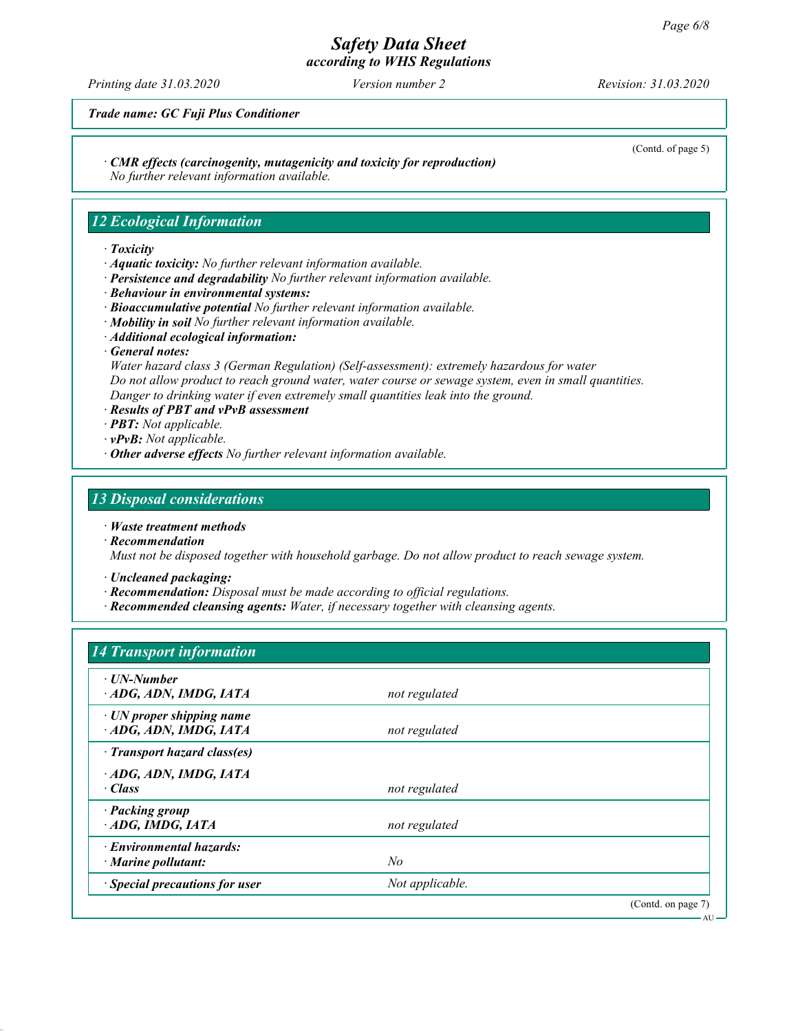# Safety Data Sheet

according to WHS Regulations

Printing date 31.03.2020 Version number 2 Revision: 31.03.2020

(Contd. of page 5)

AU

Trade name: GC Fuji Plus Conditioner

· CMR effects (carcinogenity, mutagenicity and toxicity for reproduction)

No further relevant information available.

# 12 Ecological Information

#### · Toxicity

- · Aquatic toxicity: No further relevant information available.
- · Persistence and degradability No further relevant information available.
- · Behaviour in environmental systems:
- · Bioaccumulative potential No further relevant information available.
- $\cdot$  Mobility in soil No further relevant information available.
- · Additional ecological information:
- · General notes:

Water hazard class 3 (German Regulation) (Self-assessment): extremely hazardous for water Do not allow product to reach ground water, water course or sewage system, even in small quantities. Danger to drinking water if even extremely small quantities leak into the ground.

- · Results of PBT and vPvB assessment
- · PBT: Not applicable.
- $\cdot$  vPvB: Not applicable.
- $\cdot$  Other adverse effects No further relevant information available.

### 13 Disposal considerations

- · Waste treatment methods
- · Recommendation

Must not be disposed together with household garbage. Do not allow product to reach sewage system.

- · Uncleaned packaging:
- · Recommendation: Disposal must be made according to official regulations.
- · Recommended cleansing agents: Water, if necessary together with cleansing agents.

### 14 Transport information

| $\cdot$ UN-Number               |                 |                    |
|---------------------------------|-----------------|--------------------|
|                                 |                 |                    |
| ADG, ADN, IMDG, IATA            | not regulated   |                    |
| $\cdot$ UN proper shipping name |                 |                    |
| ADG, ADN, IMDG, IATA            | not regulated   |                    |
|                                 |                 |                    |
| · Transport hazard class(es)    |                 |                    |
| ADG, ADN, IMDG, IATA            |                 |                    |
| $\cdot$ Class                   |                 |                    |
|                                 | not regulated   |                    |
| · Packing group                 |                 |                    |
| $\cdot$ ADG, IMDG, IATA         | not regulated   |                    |
|                                 |                 |                    |
| · Environmental hazards:        |                 |                    |
| $\cdot$ Marine pollutant:       | No              |                    |
|                                 |                 |                    |
| · Special precautions for user  | Not applicable. |                    |
|                                 |                 | (Contd. on page 7) |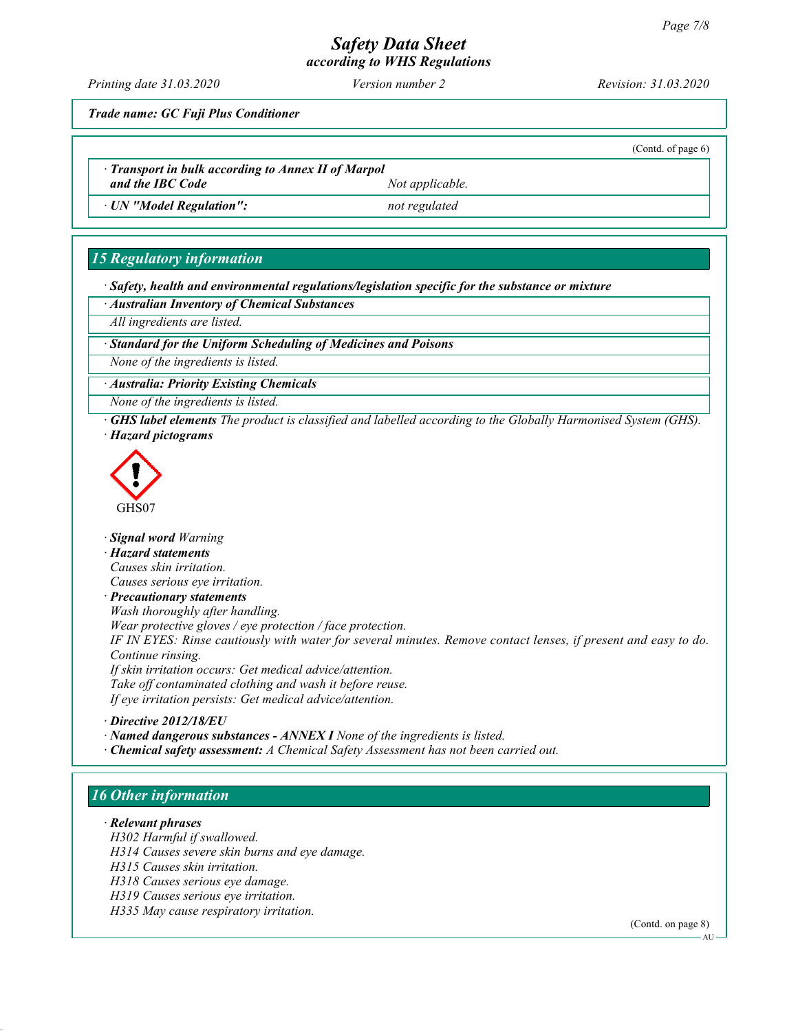# Safety Data Sheet

according to WHS Regulations

Printing date 31.03.2020 Version number 2 Revision: 31.03.2020

(Contd. of page 6)

Trade name: GC Fuji Plus Conditioner

· Transport in bulk according to Annex II of Marpol and the IBC Code Not applicable.

· UN "Model Regulation": not regulated

# 15 Regulatory information

· Safety, health and environmental regulations/legislation specific for the substance or mixture

· Australian Inventory of Chemical Substances

All ingredients are listed.

Standard for the Uniform Scheduling of Medicines and Poisons

None of the ingredients is listed.

· Australia: Priority Existing Chemicals

None of the ingredients is listed.

· GHS label elements The product is classified and labelled according to the Globally Harmonised System (GHS). · Hazard pictograms



· Signal word Warning

· Hazard statements

Causes skin irritation.

Causes serious eye irritation.

· Precautionary statements

Wash thoroughly after handling.

Wear protective gloves / eye protection / face protection.

IF IN EYES: Rinse cautiously with water for several minutes. Remove contact lenses, if present and easy to do. Continue rinsing.

If skin irritation occurs: Get medical advice/attention. Take off contaminated clothing and wash it before reuse. If eye irritation persists: Get medical advice/attention.

· Directive 2012/18/EU

· Named dangerous substances - ANNEX I None of the ingredients is listed.

· Chemical safety assessment: A Chemical Safety Assessment has not been carried out.

# 16 Other information

· Relevant phrases

H302 Harmful if swallowed.

H314 Causes severe skin burns and eye damage.

H315 Causes skin irritation.

H318 Causes serious eye damage.

H319 Causes serious eye irritation.

H335 May cause respiratory irritation.

(Contd. on page 8)

AU